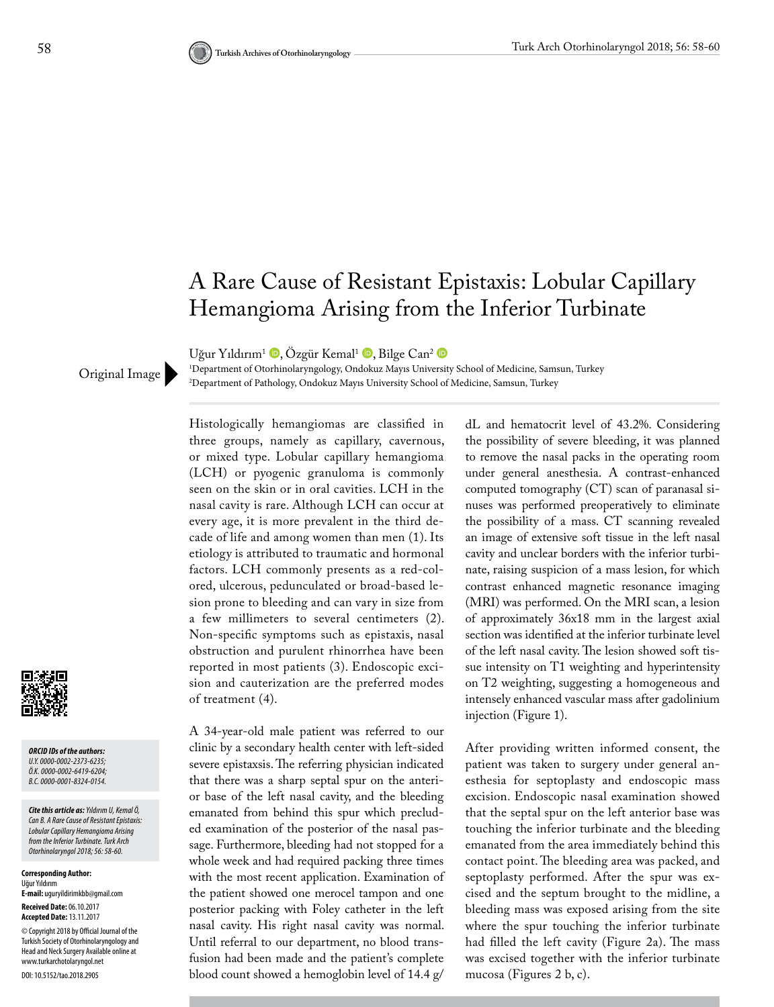## A Rare Cause of Resistant Epistaxis: Lobular Capillary Hemangioma Arising from the Inferior Turbinate

1 Department of Otorhinolaryngology, Ondokuz Mayıs University School of Medicine, Samsun, Turkey

Uğur Yıldırım<sup>1</sup> (D[,](http://orcid.org/0000-0002-2373-6235) Özgür Kemal<sup>1</sup> (D[,](http://orcid.org/0000-0002-6419-6204) Bilge Can<sup>2</sup> (D

Original Image Prepartment of Pathology, Ondokuz Mayıs University School of Medicine, Samsun, Turkey

*ORCID IDs of the authors: U.Y. 0000-0002-2373-6235; Ö.K. 0000-0002-6419-6204; B.C. 0000-0001-8324-0154.*

*Cite this article as: Yıldırım U, Kemal Ö, Can B. A Rare Cause of Resistant Epistaxis: Lobular Capillary Hemangioma Arising from the Inferior Turbinate. Turk Arch Otorhinolaryngol 2018; 56: 58-60.*

**Corresponding Author:**  Uğur Yıldırım **E-mail:** uguryildirimkbb@gmail.com **Received Date:** 06.10.2017 **Accepted Date:** 13.11.2017 © Copyright 2018 by Official Journal of the Turkish Society of Otorhinolaryngology and Head and Neck Surgery Available online at www.turkarchotolaryngol.net DOI: 10.5152/tao.2018.2905

Histologically hemangiomas are classified in three groups, namely as capillary, cavernous, or mixed type. Lobular capillary hemangioma (LCH) or pyogenic granuloma is commonly seen on the skin or in oral cavities. LCH in the nasal cavity is rare. Although LCH can occur at every age, it is more prevalent in the third decade of life and among women than men (1). Its etiology is attributed to traumatic and hormonal factors. LCH commonly presents as a red-colored, ulcerous, pedunculated or broad-based lesion prone to bleeding and can vary in size from a few millimeters to several centimeters (2). Non-specific symptoms such as epistaxis, nasal obstruction and purulent rhinorrhea have been reported in most patients (3). Endoscopic excision and cauterization are the preferred modes of treatment (4).

A 34-year-old male patient was referred to our clinic by a secondary health center with left-sided severe epistaxsis. The referring physician indicated that there was a sharp septal spur on the anterior base of the left nasal cavity, and the bleeding emanated from behind this spur which precluded examination of the posterior of the nasal passage. Furthermore, bleeding had not stopped for a whole week and had required packing three times with the most recent application. Examination of the patient showed one merocel tampon and one posterior packing with Foley catheter in the left nasal cavity. His right nasal cavity was normal. Until referral to our department, no blood transfusion had been made and the patient's complete blood count showed a hemoglobin level of 14.4 g/ dL and hematocrit level of 43.2%. Considering the possibility of severe bleeding, it was planned to remove the nasal packs in the operating room under general anesthesia. A contrast-enhanced computed tomography (CT) scan of paranasal sinuses was performed preoperatively to eliminate the possibility of a mass. CT scanning revealed an image of extensive soft tissue in the left nasal cavity and unclear borders with the inferior turbinate, raising suspicion of a mass lesion, for which contrast enhanced magnetic resonance imaging (MRI) was performed. On the MRI scan, a lesion of approximately 36x18 mm in the largest axial section was identified at the inferior turbinate level of the left nasal cavity. The lesion showed soft tissue intensity on T1 weighting and hyperintensity on T2 weighting, suggesting a homogeneous and intensely enhanced vascular mass after gadolinium injection (Figure 1).

After providing written informed consent, the patient was taken to surgery under general anesthesia for septoplasty and endoscopic mass excision. Endoscopic nasal examination showed that the septal spur on the left anterior base was touching the inferior turbinate and the bleeding emanated from the area immediately behind this contact point. The bleeding area was packed, and septoplasty performed. After the spur was excised and the septum brought to the midline, a bleeding mass was exposed arising from the site where the spur touching the inferior turbinate had filled the left cavity (Figure 2a). The mass was excised together with the inferior turbinate mucosa (Figures 2 b, c).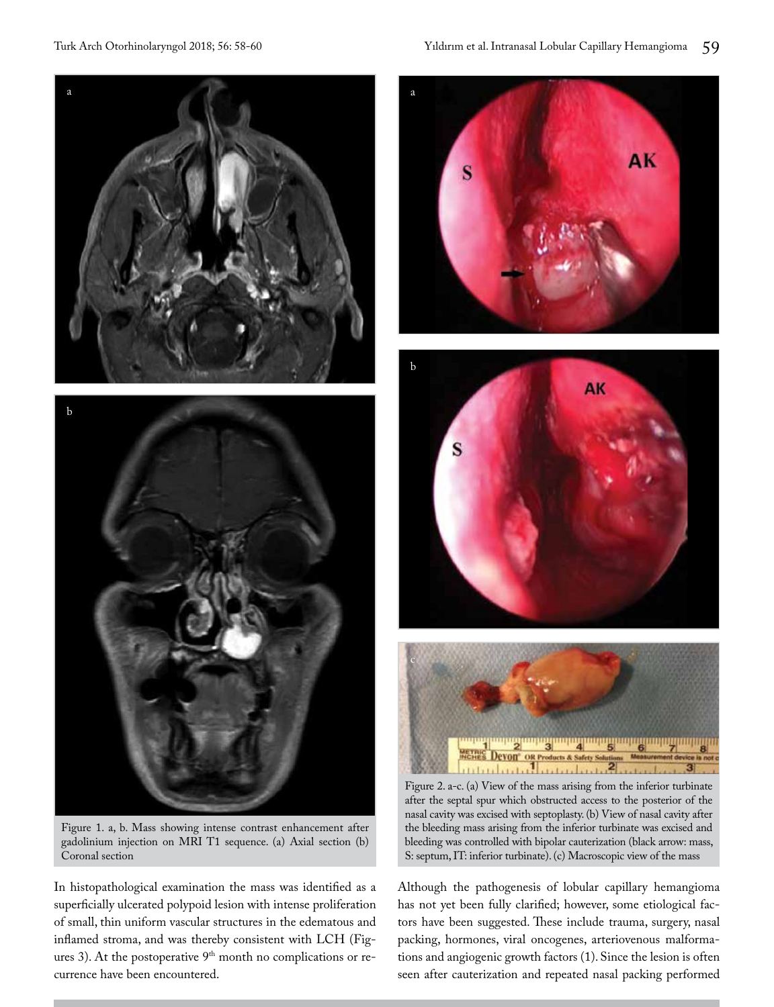

b

Figure 1. a, b. Mass showing intense contrast enhancement after gadolinium injection on MRI T1 sequence. (a) Axial section (b) Coronal section

In histopathological examination the mass was identified as a superficially ulcerated polypoid lesion with intense proliferation of small, thin uniform vascular structures in the edematous and inflamed stroma, and was thereby consistent with LCH (Figures 3). At the postoperative 9<sup>th</sup> month no complications or recurrence have been encountered.







Figure 2. a-c. (a) View of the mass arising from the inferior turbinate after the septal spur which obstructed access to the posterior of the nasal cavity was excised with septoplasty. (b) View of nasal cavity after the bleeding mass arising from the inferior turbinate was excised and bleeding was controlled with bipolar cauterization (black arrow: mass, S: septum, IT: inferior turbinate). (c) Macroscopic view of the mass

Although the pathogenesis of lobular capillary hemangioma has not yet been fully clarified; however, some etiological factors have been suggested. These include trauma, surgery, nasal packing, hormones, viral oncogenes, arteriovenous malformations and angiogenic growth factors (1). Since the lesion is often seen after cauterization and repeated nasal packing performed